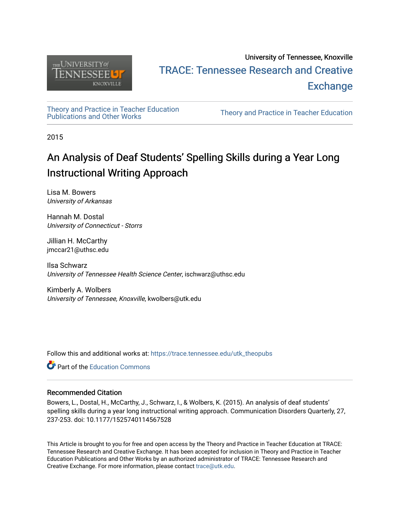

# University of Tennessee, Knoxville TRACE: T[ennessee Research and Cr](https://trace.tennessee.edu/)eative **Exchange**

[Theory and Practice in Teacher Education](https://trace.tennessee.edu/utk_theopubs)

Theory and Practice in Teacher Education

2015

# An Analysis of Deaf Students' Spelling Skills during a Year Long Instructional Writing Approach

Lisa M. Bowers University of Arkansas

Hannah M. Dostal University of Connecticut - Storrs

Jillian H. McCarthy jmccar21@uthsc.edu

Ilsa Schwarz University of Tennessee Health Science Center, ischwarz@uthsc.edu

Kimberly A. Wolbers University of Tennessee, Knoxville, kwolbers@utk.edu

Follow this and additional works at: [https://trace.tennessee.edu/utk\\_theopubs](https://trace.tennessee.edu/utk_theopubs?utm_source=trace.tennessee.edu%2Futk_theopubs%2F12&utm_medium=PDF&utm_campaign=PDFCoverPages)

**C** Part of the [Education Commons](https://network.bepress.com/hgg/discipline/784?utm_source=trace.tennessee.edu%2Futk_theopubs%2F12&utm_medium=PDF&utm_campaign=PDFCoverPages)

# Recommended Citation

Bowers, L., Dostal, H., McCarthy, J., Schwarz, I., & Wolbers, K. (2015). An analysis of deaf students' spelling skills during a year long instructional writing approach. Communication Disorders Quarterly, 27, 237-253. doi: 10.1177/1525740114567528

This Article is brought to you for free and open access by the Theory and Practice in Teacher Education at TRACE: Tennessee Research and Creative Exchange. It has been accepted for inclusion in Theory and Practice in Teacher Education Publications and Other Works by an authorized administrator of TRACE: Tennessee Research and Creative Exchange. For more information, please contact [trace@utk.edu](mailto:trace@utk.edu).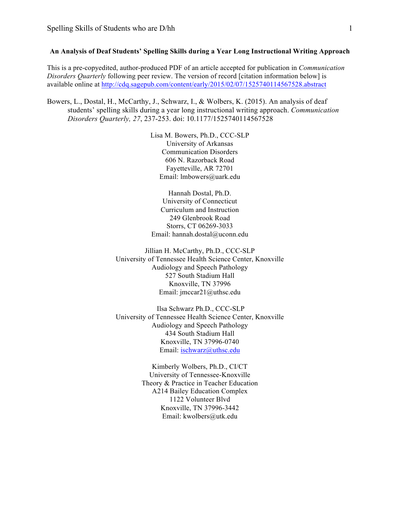### **An Analysis of Deaf Students' Spelling Skills during a Year Long Instructional Writing Approach**

This is a pre-copyedited, author-produced PDF of an article accepted for publication in *Communication Disorders Quarterly* following peer review. The version of record [citation information below] is available online at http://cdq.sagepub.com/content/early/2015/02/07/1525740114567528.abstract

Bowers, L., Dostal, H., McCarthy, J., Schwarz, I., & Wolbers, K. (2015). An analysis of deaf students' spelling skills during a year long instructional writing approach. *Communication Disorders Quarterly, 27*, 237-253. doi: 10.1177/1525740114567528

> Lisa M. Bowers, Ph.D., CCC-SLP University of Arkansas Communication Disorders 606 N. Razorback Road Fayetteville, AR 72701 Email: lmbowers@uark.edu

> Hannah Dostal, Ph.D. University of Connecticut Curriculum and Instruction 249 Glenbrook Road Storrs, CT 06269-3033 Email: hannah.dostal@uconn.edu

Jillian H. McCarthy, Ph.D., CCC-SLP University of Tennessee Health Science Center, Knoxville Audiology and Speech Pathology 527 South Stadium Hall Knoxville, TN 37996 Email: jmccar21@uthsc.edu

Ilsa Schwarz Ph.D., CCC-SLP University of Tennessee Health Science Center, Knoxville Audiology and Speech Pathology 434 South Stadium Hall Knoxville, TN 37996-0740 Email: ischwarz@uthsc.edu

> Kimberly Wolbers, Ph.D., CI/CT University of Tennessee-Knoxville Theory & Practice in Teacher Education A214 Bailey Education Complex 1122 Volunteer Blvd Knoxville, TN 37996-3442 Email: kwolbers@utk.edu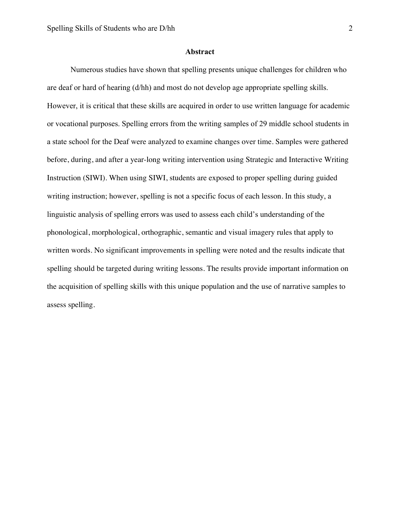#### **Abstract**

Numerous studies have shown that spelling presents unique challenges for children who are deaf or hard of hearing (d/hh) and most do not develop age appropriate spelling skills. However, it is critical that these skills are acquired in order to use written language for academic or vocational purposes. Spelling errors from the writing samples of 29 middle school students in a state school for the Deaf were analyzed to examine changes over time. Samples were gathered before, during, and after a year-long writing intervention using Strategic and Interactive Writing Instruction (SIWI). When using SIWI, students are exposed to proper spelling during guided writing instruction; however, spelling is not a specific focus of each lesson. In this study, a linguistic analysis of spelling errors was used to assess each child's understanding of the phonological, morphological, orthographic, semantic and visual imagery rules that apply to written words. No significant improvements in spelling were noted and the results indicate that spelling should be targeted during writing lessons. The results provide important information on the acquisition of spelling skills with this unique population and the use of narrative samples to assess spelling.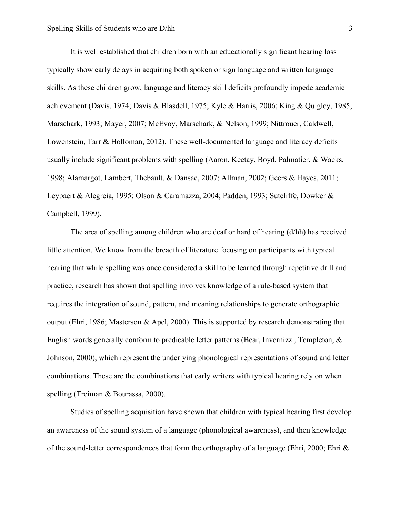It is well established that children born with an educationally significant hearing loss typically show early delays in acquiring both spoken or sign language and written language skills. As these children grow, language and literacy skill deficits profoundly impede academic achievement (Davis, 1974; Davis & Blasdell, 1975; Kyle & Harris, 2006; King & Quigley, 1985; Marschark, 1993; Mayer, 2007; McEvoy, Marschark, & Nelson, 1999; Nittrouer, Caldwell, Lowenstein, Tarr & Holloman, 2012). These well-documented language and literacy deficits usually include significant problems with spelling (Aaron, Keetay, Boyd, Palmatier, & Wacks, 1998; Alamargot, Lambert, Thebault, & Dansac, 2007; Allman, 2002; Geers & Hayes, 2011; Leybaert & Alegreia, 1995; Olson & Caramazza, 2004; Padden, 1993; Sutcliffe, Dowker & Campbell, 1999).

The area of spelling among children who are deaf or hard of hearing (d/hh) has received little attention. We know from the breadth of literature focusing on participants with typical hearing that while spelling was once considered a skill to be learned through repetitive drill and practice, research has shown that spelling involves knowledge of a rule-based system that requires the integration of sound, pattern, and meaning relationships to generate orthographic output (Ehri, 1986; Masterson & Apel, 2000). This is supported by research demonstrating that English words generally conform to predicable letter patterns (Bear, Invernizzi, Templeton, & Johnson, 2000), which represent the underlying phonological representations of sound and letter combinations. These are the combinations that early writers with typical hearing rely on when spelling (Treiman & Bourassa, 2000).

Studies of spelling acquisition have shown that children with typical hearing first develop an awareness of the sound system of a language (phonological awareness), and then knowledge of the sound-letter correspondences that form the orthography of a language (Ehri, 2000; Ehri &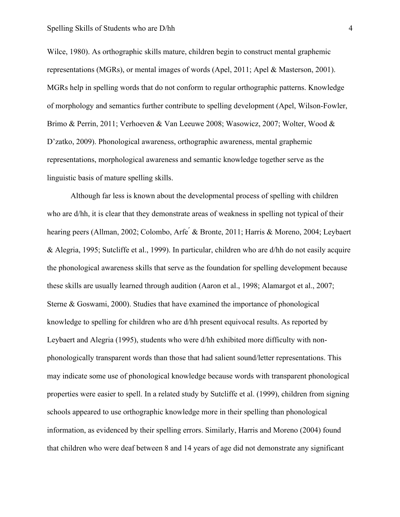#### Spelling Skills of Students who are D/hh 4

Wilce, 1980). As orthographic skills mature, children begin to construct mental graphemic representations (MGRs), or mental images of words (Apel, 2011; Apel & Masterson, 2001). MGRs help in spelling words that do not conform to regular orthographic patterns. Knowledge of morphology and semantics further contribute to spelling development (Apel, Wilson-Fowler, Brimo & Perrin, 2011; Verhoeven & Van Leeuwe 2008; Wasowicz, 2007; Wolter, Wood & D'zatko, 2009). Phonological awareness, orthographic awareness, mental graphemic representations, morphological awareness and semantic knowledge together serve as the linguistic basis of mature spelling skills.

Although far less is known about the developmental process of spelling with children who are d/hh, it is clear that they demonstrate areas of weakness in spelling not typical of their hearing peers (Allman, 2002; Colombo, Arfe<sup>'</sup> & Bronte, 2011; Harris & Moreno, 2004; Leybaert & Alegria, 1995; Sutcliffe et al., 1999). In particular, children who are d/hh do not easily acquire the phonological awareness skills that serve as the foundation for spelling development because these skills are usually learned through audition (Aaron et al., 1998; Alamargot et al., 2007; Sterne & Goswami, 2000). Studies that have examined the importance of phonological knowledge to spelling for children who are d/hh present equivocal results. As reported by Leybaert and Alegria (1995), students who were d/hh exhibited more difficulty with nonphonologically transparent words than those that had salient sound/letter representations. This may indicate some use of phonological knowledge because words with transparent phonological properties were easier to spell. In a related study by Sutcliffe et al. (1999), children from signing schools appeared to use orthographic knowledge more in their spelling than phonological information, as evidenced by their spelling errors. Similarly, Harris and Moreno (2004) found that children who were deaf between 8 and 14 years of age did not demonstrate any significant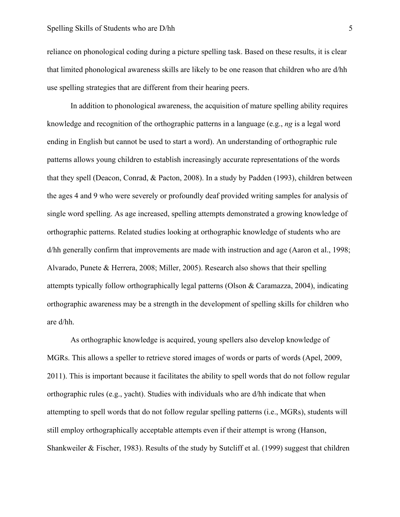reliance on phonological coding during a picture spelling task. Based on these results, it is clear that limited phonological awareness skills are likely to be one reason that children who are d/hh use spelling strategies that are different from their hearing peers.

In addition to phonological awareness, the acquisition of mature spelling ability requires knowledge and recognition of the orthographic patterns in a language (e.g., *ng* is a legal word ending in English but cannot be used to start a word). An understanding of orthographic rule patterns allows young children to establish increasingly accurate representations of the words that they spell (Deacon, Conrad, & Pacton, 2008). In a study by Padden (1993), children between the ages 4 and 9 who were severely or profoundly deaf provided writing samples for analysis of single word spelling. As age increased, spelling attempts demonstrated a growing knowledge of orthographic patterns. Related studies looking at orthographic knowledge of students who are d/hh generally confirm that improvements are made with instruction and age (Aaron et al., 1998; Alvarado, Punete & Herrera, 2008; Miller, 2005). Research also shows that their spelling attempts typically follow orthographically legal patterns (Olson & Caramazza, 2004), indicating orthographic awareness may be a strength in the development of spelling skills for children who are d/hh.

As orthographic knowledge is acquired, young spellers also develop knowledge of MGRs. This allows a speller to retrieve stored images of words or parts of words (Apel, 2009, 2011). This is important because it facilitates the ability to spell words that do not follow regular orthographic rules (e.g., yacht). Studies with individuals who are d/hh indicate that when attempting to spell words that do not follow regular spelling patterns (i.e., MGRs), students will still employ orthographically acceptable attempts even if their attempt is wrong (Hanson, Shankweiler & Fischer, 1983). Results of the study by Sutcliff et al. (1999) suggest that children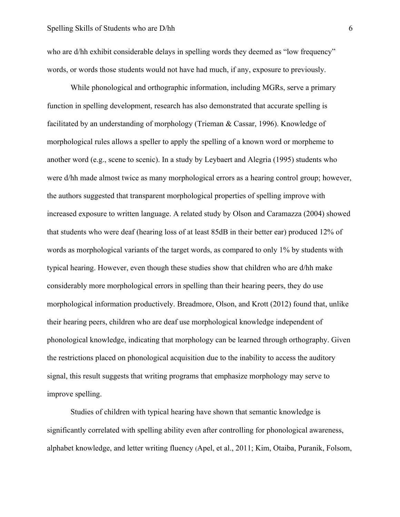who are d/hh exhibit considerable delays in spelling words they deemed as "low frequency" words, or words those students would not have had much, if any, exposure to previously.

While phonological and orthographic information, including MGRs, serve a primary function in spelling development, research has also demonstrated that accurate spelling is facilitated by an understanding of morphology (Trieman & Cassar, 1996). Knowledge of morphological rules allows a speller to apply the spelling of a known word or morpheme to another word (e.g., scene to scenic). In a study by Leybaert and Alegria (1995) students who were d/hh made almost twice as many morphological errors as a hearing control group; however, the authors suggested that transparent morphological properties of spelling improve with increased exposure to written language. A related study by Olson and Caramazza (2004) showed that students who were deaf (hearing loss of at least 85dB in their better ear) produced 12% of words as morphological variants of the target words, as compared to only 1% by students with typical hearing. However, even though these studies show that children who are d/hh make considerably more morphological errors in spelling than their hearing peers, they do use morphological information productively. Breadmore, Olson, and Krott (2012) found that, unlike their hearing peers, children who are deaf use morphological knowledge independent of phonological knowledge, indicating that morphology can be learned through orthography. Given the restrictions placed on phonological acquisition due to the inability to access the auditory signal, this result suggests that writing programs that emphasize morphology may serve to improve spelling.

Studies of children with typical hearing have shown that semantic knowledge is significantly correlated with spelling ability even after controlling for phonological awareness, alphabet knowledge, and letter writing fluency (Apel, et al., 2011; Kim, Otaiba, Puranik, Folsom,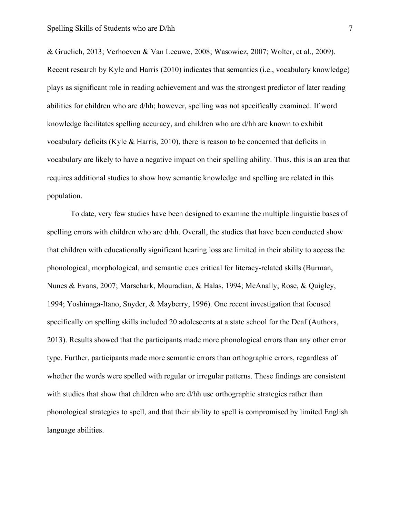& Gruelich, 2013; Verhoeven & Van Leeuwe, 2008; Wasowicz, 2007; Wolter, et al., 2009). Recent research by Kyle and Harris (2010) indicates that semantics (i.e., vocabulary knowledge) plays as significant role in reading achievement and was the strongest predictor of later reading abilities for children who are d/hh; however, spelling was not specifically examined. If word knowledge facilitates spelling accuracy, and children who are d/hh are known to exhibit vocabulary deficits (Kyle & Harris, 2010), there is reason to be concerned that deficits in vocabulary are likely to have a negative impact on their spelling ability. Thus, this is an area that requires additional studies to show how semantic knowledge and spelling are related in this population.

To date, very few studies have been designed to examine the multiple linguistic bases of spelling errors with children who are d/hh. Overall, the studies that have been conducted show that children with educationally significant hearing loss are limited in their ability to access the phonological, morphological, and semantic cues critical for literacy-related skills (Burman, Nunes & Evans, 2007; Marschark, Mouradian, & Halas, 1994; McAnally, Rose, & Quigley, 1994; Yoshinaga-Itano, Snyder, & Mayberry, 1996). One recent investigation that focused specifically on spelling skills included 20 adolescents at a state school for the Deaf (Authors, 2013). Results showed that the participants made more phonological errors than any other error type. Further, participants made more semantic errors than orthographic errors, regardless of whether the words were spelled with regular or irregular patterns. These findings are consistent with studies that show that children who are d/hh use orthographic strategies rather than phonological strategies to spell, and that their ability to spell is compromised by limited English language abilities.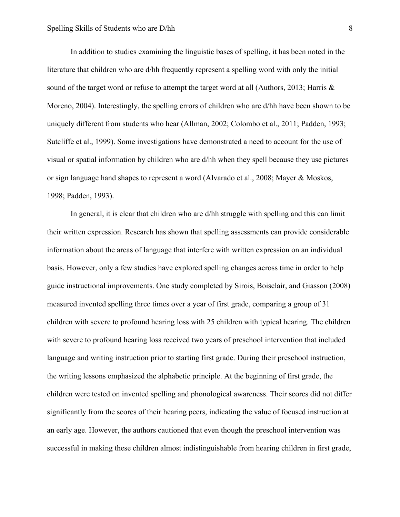In addition to studies examining the linguistic bases of spelling, it has been noted in the literature that children who are d/hh frequently represent a spelling word with only the initial sound of the target word or refuse to attempt the target word at all (Authors, 2013; Harris  $\&$ Moreno, 2004). Interestingly, the spelling errors of children who are d/hh have been shown to be uniquely different from students who hear (Allman, 2002; Colombo et al., 2011; Padden, 1993; Sutcliffe et al., 1999). Some investigations have demonstrated a need to account for the use of visual or spatial information by children who are d/hh when they spell because they use pictures or sign language hand shapes to represent a word (Alvarado et al., 2008; Mayer & Moskos, 1998; Padden, 1993).

In general, it is clear that children who are d/hh struggle with spelling and this can limit their written expression. Research has shown that spelling assessments can provide considerable information about the areas of language that interfere with written expression on an individual basis. However, only a few studies have explored spelling changes across time in order to help guide instructional improvements. One study completed by Sirois, Boisclair, and Giasson (2008) measured invented spelling three times over a year of first grade, comparing a group of 31 children with severe to profound hearing loss with 25 children with typical hearing. The children with severe to profound hearing loss received two years of preschool intervention that included language and writing instruction prior to starting first grade. During their preschool instruction, the writing lessons emphasized the alphabetic principle. At the beginning of first grade, the children were tested on invented spelling and phonological awareness. Their scores did not differ significantly from the scores of their hearing peers, indicating the value of focused instruction at an early age. However, the authors cautioned that even though the preschool intervention was successful in making these children almost indistinguishable from hearing children in first grade,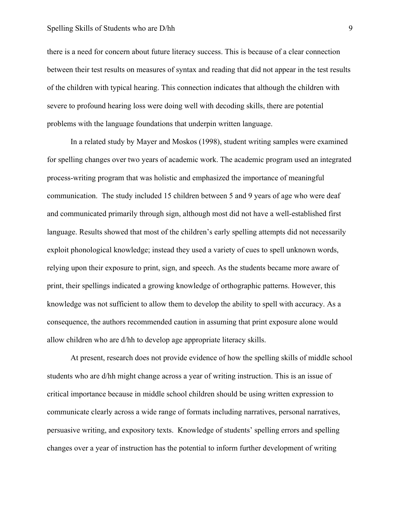#### Spelling Skills of Students who are D/hh 9

there is a need for concern about future literacy success. This is because of a clear connection between their test results on measures of syntax and reading that did not appear in the test results of the children with typical hearing. This connection indicates that although the children with severe to profound hearing loss were doing well with decoding skills, there are potential problems with the language foundations that underpin written language.

In a related study by Mayer and Moskos (1998), student writing samples were examined for spelling changes over two years of academic work. The academic program used an integrated process-writing program that was holistic and emphasized the importance of meaningful communication. The study included 15 children between 5 and 9 years of age who were deaf and communicated primarily through sign, although most did not have a well-established first language. Results showed that most of the children's early spelling attempts did not necessarily exploit phonological knowledge; instead they used a variety of cues to spell unknown words, relying upon their exposure to print, sign, and speech. As the students became more aware of print, their spellings indicated a growing knowledge of orthographic patterns. However, this knowledge was not sufficient to allow them to develop the ability to spell with accuracy. As a consequence, the authors recommended caution in assuming that print exposure alone would allow children who are d/hh to develop age appropriate literacy skills.

At present, research does not provide evidence of how the spelling skills of middle school students who are d/hh might change across a year of writing instruction. This is an issue of critical importance because in middle school children should be using written expression to communicate clearly across a wide range of formats including narratives, personal narratives, persuasive writing, and expository texts. Knowledge of students' spelling errors and spelling changes over a year of instruction has the potential to inform further development of writing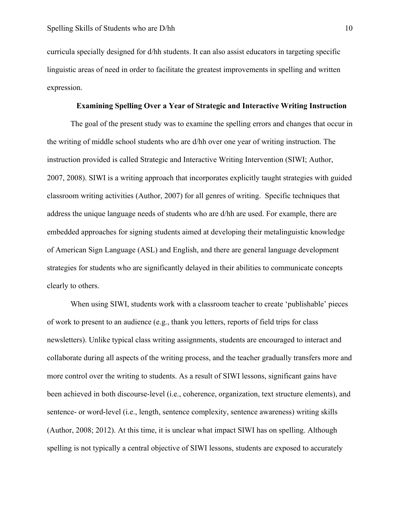curricula specially designed for d/hh students. It can also assist educators in targeting specific linguistic areas of need in order to facilitate the greatest improvements in spelling and written expression.

#### **Examining Spelling Over a Year of Strategic and Interactive Writing Instruction**

The goal of the present study was to examine the spelling errors and changes that occur in the writing of middle school students who are d/hh over one year of writing instruction. The instruction provided is called Strategic and Interactive Writing Intervention (SIWI; Author, 2007, 2008). SIWI is a writing approach that incorporates explicitly taught strategies with guided classroom writing activities (Author, 2007) for all genres of writing. Specific techniques that address the unique language needs of students who are d/hh are used. For example, there are embedded approaches for signing students aimed at developing their metalinguistic knowledge of American Sign Language (ASL) and English, and there are general language development strategies for students who are significantly delayed in their abilities to communicate concepts clearly to others.

When using SIWI, students work with a classroom teacher to create 'publishable' pieces of work to present to an audience (e.g., thank you letters, reports of field trips for class newsletters). Unlike typical class writing assignments, students are encouraged to interact and collaborate during all aspects of the writing process, and the teacher gradually transfers more and more control over the writing to students. As a result of SIWI lessons, significant gains have been achieved in both discourse-level (i.e., coherence, organization, text structure elements), and sentence- or word-level (i.e., length, sentence complexity, sentence awareness) writing skills (Author, 2008; 2012). At this time, it is unclear what impact SIWI has on spelling. Although spelling is not typically a central objective of SIWI lessons, students are exposed to accurately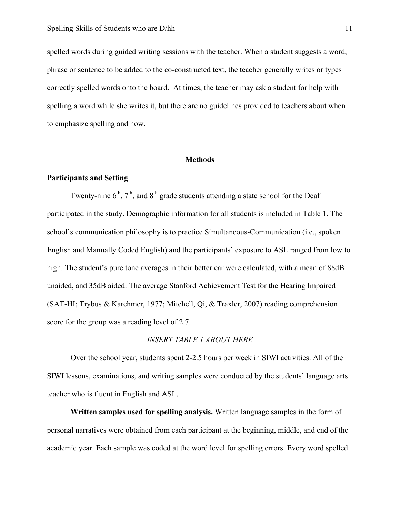spelled words during guided writing sessions with the teacher. When a student suggests a word, phrase or sentence to be added to the co-constructed text, the teacher generally writes or types correctly spelled words onto the board. At times, the teacher may ask a student for help with spelling a word while she writes it, but there are no guidelines provided to teachers about when to emphasize spelling and how.

#### **Methods**

#### **Participants and Setting**

Twenty-nine  $6<sup>th</sup>$ ,  $7<sup>th</sup>$ , and  $8<sup>th</sup>$  grade students attending a state school for the Deaf participated in the study. Demographic information for all students is included in Table 1. The school's communication philosophy is to practice Simultaneous-Communication (i.e., spoken English and Manually Coded English) and the participants' exposure to ASL ranged from low to high. The student's pure tone averages in their better ear were calculated, with a mean of 88dB unaided, and 35dB aided. The average Stanford Achievement Test for the Hearing Impaired (SAT-HI; Trybus & Karchmer, 1977; Mitchell, Qi, & Traxler, 2007) reading comprehension score for the group was a reading level of 2.7.

## *INSERT TABLE 1 ABOUT HERE*

Over the school year, students spent 2-2.5 hours per week in SIWI activities. All of the SIWI lessons, examinations, and writing samples were conducted by the students' language arts teacher who is fluent in English and ASL.

**Written samples used for spelling analysis.** Written language samples in the form of personal narratives were obtained from each participant at the beginning, middle, and end of the academic year. Each sample was coded at the word level for spelling errors. Every word spelled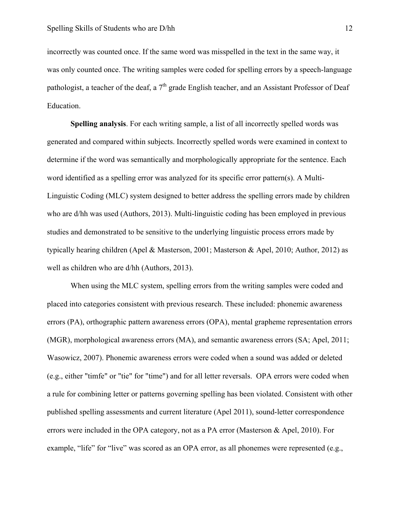incorrectly was counted once. If the same word was misspelled in the text in the same way, it was only counted once. The writing samples were coded for spelling errors by a speech-language pathologist, a teacher of the deaf, a  $7<sup>th</sup>$  grade English teacher, and an Assistant Professor of Deaf Education.

**Spelling analysis**. For each writing sample, a list of all incorrectly spelled words was generated and compared within subjects. Incorrectly spelled words were examined in context to determine if the word was semantically and morphologically appropriate for the sentence. Each word identified as a spelling error was analyzed for its specific error pattern(s). A Multi-Linguistic Coding (MLC) system designed to better address the spelling errors made by children who are d/hh was used (Authors, 2013). Multi-linguistic coding has been employed in previous studies and demonstrated to be sensitive to the underlying linguistic process errors made by typically hearing children (Apel & Masterson, 2001; Masterson & Apel, 2010; Author, 2012) as well as children who are d/hh (Authors, 2013).

When using the MLC system, spelling errors from the writing samples were coded and placed into categories consistent with previous research. These included: phonemic awareness errors (PA), orthographic pattern awareness errors (OPA), mental grapheme representation errors (MGR), morphological awareness errors (MA), and semantic awareness errors (SA; Apel, 2011; Wasowicz, 2007). Phonemic awareness errors were coded when a sound was added or deleted (e.g., either "timfe" or "tie" for "time") and for all letter reversals. OPA errors were coded when a rule for combining letter or patterns governing spelling has been violated. Consistent with other published spelling assessments and current literature (Apel 2011), sound-letter correspondence errors were included in the OPA category, not as a PA error (Masterson & Apel, 2010). For example, "life" for "live" was scored as an OPA error, as all phonemes were represented (e.g.,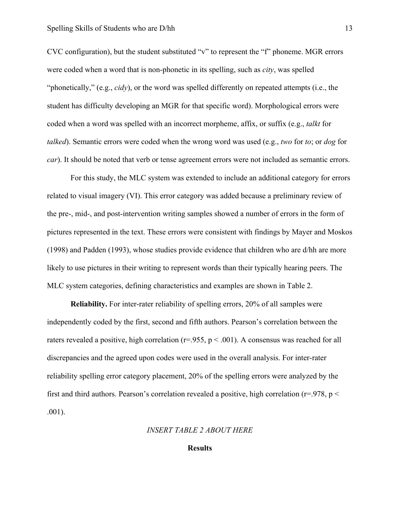CVC configuration), but the student substituted "v" to represent the "f" phoneme. MGR errors were coded when a word that is non-phonetic in its spelling, such as *city*, was spelled "phonetically," (e.g., *cidy*), or the word was spelled differently on repeated attempts (i.e., the student has difficulty developing an MGR for that specific word). Morphological errors were coded when a word was spelled with an incorrect morpheme, affix, or suffix (e.g., *talkt* for *talked*). Semantic errors were coded when the wrong word was used (e.g., *two* for *to*; or *dog* for *car*). It should be noted that verb or tense agreement errors were not included as semantic errors.

For this study, the MLC system was extended to include an additional category for errors related to visual imagery (VI). This error category was added because a preliminary review of the pre-, mid-, and post-intervention writing samples showed a number of errors in the form of pictures represented in the text. These errors were consistent with findings by Mayer and Moskos (1998) and Padden (1993), whose studies provide evidence that children who are d/hh are more likely to use pictures in their writing to represent words than their typically hearing peers. The MLC system categories, defining characteristics and examples are shown in Table 2.

**Reliability.** For inter-rater reliability of spelling errors, 20% of all samples were independently coded by the first, second and fifth authors. Pearson's correlation between the raters revealed a positive, high correlation ( $r=955$ ,  $p < .001$ ). A consensus was reached for all discrepancies and the agreed upon codes were used in the overall analysis. For inter-rater reliability spelling error category placement, 20% of the spelling errors were analyzed by the first and third authors. Pearson's correlation revealed a positive, high correlation ( $r=978$ ,  $p <$ .001).

*INSERT TABLE 2 ABOUT HERE*

#### **Results**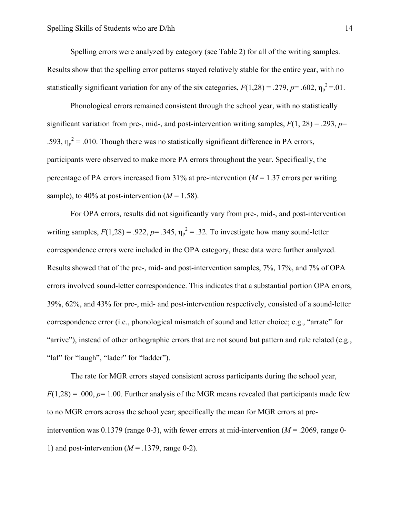Spelling errors were analyzed by category (see Table 2) for all of the writing samples. Results show that the spelling error patterns stayed relatively stable for the entire year, with no statistically significant variation for any of the six categories,  $F(1,28) = .279$ ,  $p = .602$ ,  $\eta_p^2 = .01$ .

Phonological errors remained consistent through the school year, with no statistically significant variation from pre-, mid-, and post-intervention writing samples,  $F(1, 28) = .293$ ,  $p=$ .593,  $\eta_p^2$  = .010. Though there was no statistically significant difference in PA errors, participants were observed to make more PA errors throughout the year. Specifically, the percentage of PA errors increased from 31% at pre-intervention  $(M = 1.37$  errors per writing sample), to 40% at post-intervention  $(M = 1.58)$ .

For OPA errors, results did not significantly vary from pre-, mid-, and post-intervention writing samples,  $F(1,28) = .922$ ,  $p = .345$ ,  $\eta_p^2 = .32$ . To investigate how many sound-letter correspondence errors were included in the OPA category, these data were further analyzed. Results showed that of the pre-, mid- and post-intervention samples, 7%, 17%, and 7% of OPA errors involved sound-letter correspondence. This indicates that a substantial portion OPA errors, 39%, 62%, and 43% for pre-, mid- and post-intervention respectively, consisted of a sound-letter correspondence error (i.e., phonological mismatch of sound and letter choice; e.g., "arrate" for "arrive"), instead of other orthographic errors that are not sound but pattern and rule related (e.g., "laf" for "laugh", "lader" for "ladder").

The rate for MGR errors stayed consistent across participants during the school year,  $F(1,28) = 0.000$ ,  $p=1.00$ . Further analysis of the MGR means revealed that participants made few to no MGR errors across the school year; specifically the mean for MGR errors at preintervention was  $0.1379$  (range 0-3), with fewer errors at mid-intervention ( $M = 0.2069$ , range 0-1) and post-intervention  $(M = .1379, \text{range } 0-2)$ .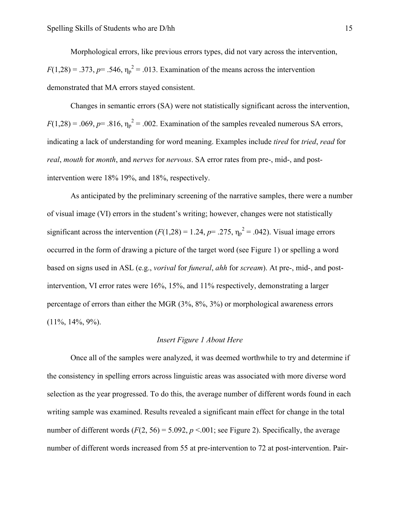Morphological errors, like previous errors types, did not vary across the intervention,  $F(1,28) = .373$ ,  $p = .546$ ,  $\eta_p^2 = .013$ . Examination of the means across the intervention demonstrated that MA errors stayed consistent.

Changes in semantic errors (SA) were not statistically significant across the intervention,  $F(1,28) = .069$ ,  $p = .816$ ,  $\eta_p^2 = .002$ . Examination of the samples revealed numerous SA errors, indicating a lack of understanding for word meaning. Examples include *tired* for *tried*, *read* for *real*, *mouth* for *month*, and *nerves* for *nervous*. SA error rates from pre-, mid-, and postintervention were 18% 19%, and 18%, respectively.

As anticipated by the preliminary screening of the narrative samples, there were a number of visual image (VI) errors in the student's writing; however, changes were not statistically significant across the intervention  $(F(1,28) = 1.24, p = .275, \eta_p^2 = .042)$ . Visual image errors occurred in the form of drawing a picture of the target word (see Figure 1) or spelling a word based on signs used in ASL (e.g., *vorival* for *funeral*, *ahh* for *scream*). At pre-, mid-, and postintervention, VI error rates were 16%, 15%, and 11% respectively, demonstrating a larger percentage of errors than either the MGR (3%, 8%, 3%) or morphological awareness errors  $(11\%, 14\%, 9\%).$ 

### *Insert Figure 1 About Here*

Once all of the samples were analyzed, it was deemed worthwhile to try and determine if the consistency in spelling errors across linguistic areas was associated with more diverse word selection as the year progressed. To do this, the average number of different words found in each writing sample was examined. Results revealed a significant main effect for change in the total number of different words  $(F(2, 56) = 5.092, p < 0.01)$ ; see Figure 2). Specifically, the average number of different words increased from 55 at pre-intervention to 72 at post-intervention. Pair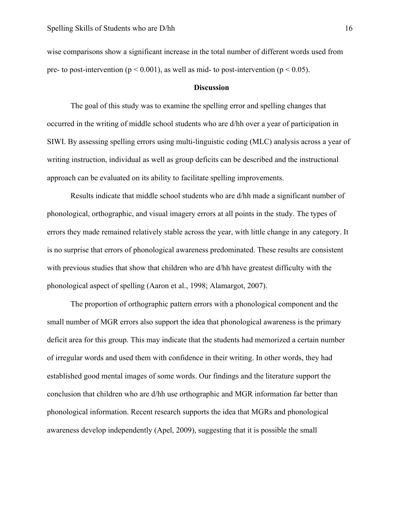wise comparisons show a significant increase in the total number of different words used from pre- to post-intervention ( $p \le 0.001$ ), as well as mid- to post-intervention ( $p \le 0.05$ ).

#### **Discussion**

The goal of this study was to examine the spelling error and spelling changes that occurred in the writing of middle school students who are d/hh over a year of participation in SIWI. By assessing spelling errors using multi-linguistic coding (MLC) analysis across a year of writing instruction, individual as well as group deficits can be described and the instructional approach can be evaluated on its ability to facilitate spelling improvements.

Results indicate that middle school students who are d/hh made a significant number of phonological, orthographic, and visual imagery errors at all points in the study. The types of errors they made remained relatively stable across the year, with little change in any category. It is no surprise that errors of phonological awareness predominated. These results are consistent with previous studies that show that children who are d/hh have greatest difficulty with the phonological aspect of spelling (Aaron et al., 1998; Alamargot, 2007).

The proportion of orthographic pattern errors with a phonological component and the small number of MGR errors also support the idea that phonological awareness is the primary deficit area for this group. This may indicate that the students had memorized a certain number of irregular words and used them with confidence in their writing. In other words, they had established good mental images of some words. Our findings and the literature support the conclusion that children who are d/hh use orthographic and MGR information far better than phonological information. Recent research supports the idea that MGRs and phonological awareness develop independently (Apel, 2009), suggesting that it is possible the small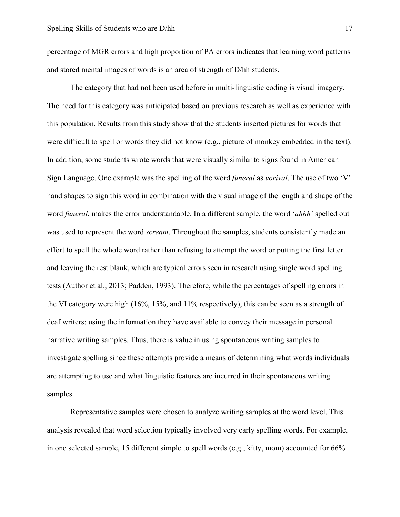percentage of MGR errors and high proportion of PA errors indicates that learning word patterns and stored mental images of words is an area of strength of D/hh students.

The category that had not been used before in multi-linguistic coding is visual imagery. The need for this category was anticipated based on previous research as well as experience with this population. Results from this study show that the students inserted pictures for words that were difficult to spell or words they did not know (e.g., picture of monkey embedded in the text). In addition, some students wrote words that were visually similar to signs found in American Sign Language. One example was the spelling of the word *funeral* as *vorival*. The use of two 'V' hand shapes to sign this word in combination with the visual image of the length and shape of the word *funeral*, makes the error understandable. In a different sample, the word '*ahhh'* spelled out was used to represent the word *scream*. Throughout the samples, students consistently made an effort to spell the whole word rather than refusing to attempt the word or putting the first letter and leaving the rest blank, which are typical errors seen in research using single word spelling tests (Author et al., 2013; Padden, 1993). Therefore, while the percentages of spelling errors in the VI category were high (16%, 15%, and 11% respectively), this can be seen as a strength of deaf writers: using the information they have available to convey their message in personal narrative writing samples. Thus, there is value in using spontaneous writing samples to investigate spelling since these attempts provide a means of determining what words individuals are attempting to use and what linguistic features are incurred in their spontaneous writing samples.

Representative samples were chosen to analyze writing samples at the word level. This analysis revealed that word selection typically involved very early spelling words. For example, in one selected sample, 15 different simple to spell words (e.g., kitty, mom) accounted for 66%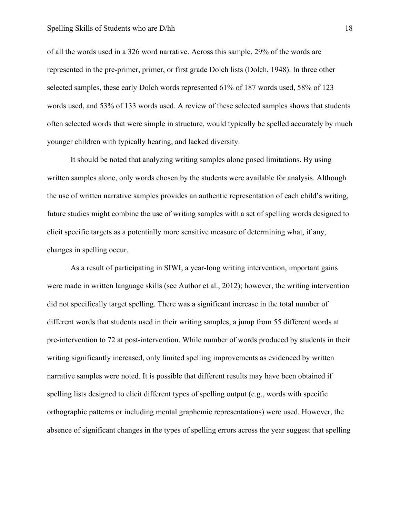of all the words used in a 326 word narrative. Across this sample, 29% of the words are represented in the pre-primer, primer, or first grade Dolch lists (Dolch, 1948). In three other selected samples, these early Dolch words represented 61% of 187 words used, 58% of 123 words used, and 53% of 133 words used. A review of these selected samples shows that students often selected words that were simple in structure, would typically be spelled accurately by much younger children with typically hearing, and lacked diversity.

It should be noted that analyzing writing samples alone posed limitations. By using written samples alone, only words chosen by the students were available for analysis. Although the use of written narrative samples provides an authentic representation of each child's writing, future studies might combine the use of writing samples with a set of spelling words designed to elicit specific targets as a potentially more sensitive measure of determining what, if any, changes in spelling occur.

As a result of participating in SIWI, a year-long writing intervention, important gains were made in written language skills (see Author et al., 2012); however, the writing intervention did not specifically target spelling. There was a significant increase in the total number of different words that students used in their writing samples, a jump from 55 different words at pre-intervention to 72 at post-intervention. While number of words produced by students in their writing significantly increased, only limited spelling improvements as evidenced by written narrative samples were noted. It is possible that different results may have been obtained if spelling lists designed to elicit different types of spelling output (e.g., words with specific orthographic patterns or including mental graphemic representations) were used. However, the absence of significant changes in the types of spelling errors across the year suggest that spelling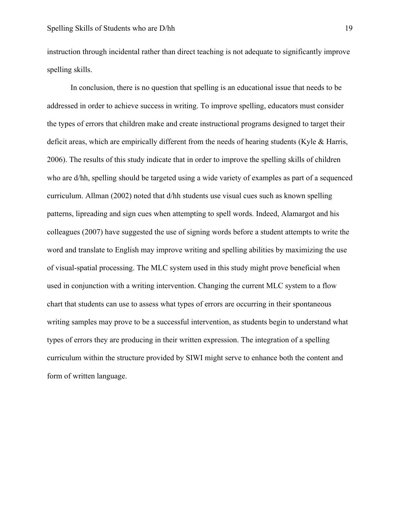instruction through incidental rather than direct teaching is not adequate to significantly improve spelling skills.

In conclusion, there is no question that spelling is an educational issue that needs to be addressed in order to achieve success in writing. To improve spelling, educators must consider the types of errors that children make and create instructional programs designed to target their deficit areas, which are empirically different from the needs of hearing students (Kyle & Harris, 2006). The results of this study indicate that in order to improve the spelling skills of children who are d/hh, spelling should be targeted using a wide variety of examples as part of a sequenced curriculum. Allman (2002) noted that d/hh students use visual cues such as known spelling patterns, lipreading and sign cues when attempting to spell words. Indeed, Alamargot and his colleagues (2007) have suggested the use of signing words before a student attempts to write the word and translate to English may improve writing and spelling abilities by maximizing the use of visual-spatial processing. The MLC system used in this study might prove beneficial when used in conjunction with a writing intervention. Changing the current MLC system to a flow chart that students can use to assess what types of errors are occurring in their spontaneous writing samples may prove to be a successful intervention, as students begin to understand what types of errors they are producing in their written expression. The integration of a spelling curriculum within the structure provided by SIWI might serve to enhance both the content and form of written language.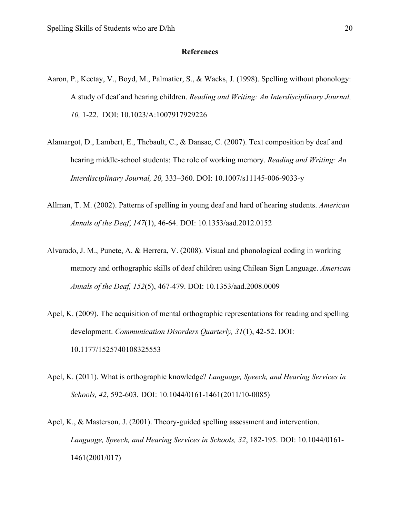# **References**

- Aaron, P., Keetay, V., Boyd, M., Palmatier, S., & Wacks, J. (1998). Spelling without phonology: A study of deaf and hearing children. *Reading and Writing: An Interdisciplinary Journal, 10,* 1-22. DOI: 10.1023/A:1007917929226
- Alamargot, D., Lambert, E., Thebault, C., & Dansac, C. (2007). Text composition by deaf and hearing middle-school students: The role of working memory. *Reading and Writing: An Interdisciplinary Journal, 20,* 333–360. DOI: 10.1007/s11145-006-9033-y
- Allman, T. M. (2002). Patterns of spelling in young deaf and hard of hearing students. *American Annals of the Deaf*, *147*(1), 46-64. DOI: 10.1353/aad.2012.0152
- Alvarado, J. M., Punete, A. & Herrera, V. (2008). Visual and phonological coding in working memory and orthographic skills of deaf children using Chilean Sign Language. *American Annals of the Deaf, 152*(5), 467-479. DOI: 10.1353/aad.2008.0009
- Apel, K. (2009). The acquisition of mental orthographic representations for reading and spelling development. *Communication Disorders Quarterly, 31*(1), 42-52. DOI: 10.1177/1525740108325553
- Apel, K. (2011). What is orthographic knowledge? *Language, Speech, and Hearing Services in Schools, 42*, 592-603. DOI: 10.1044/0161-1461(2011/10-0085)
- Apel, K., & Masterson, J. (2001). Theory-guided spelling assessment and intervention. *Language, Speech, and Hearing Services in Schools, 32*, 182-195. DOI: 10.1044/0161- 1461(2001/017)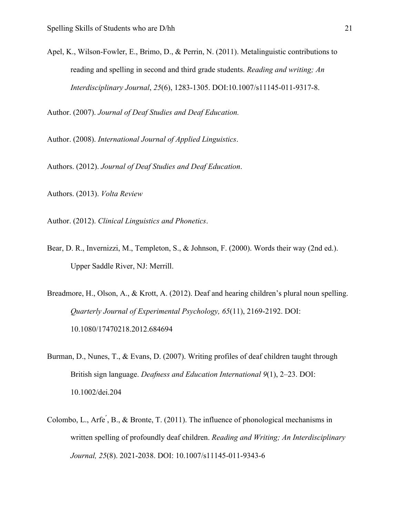Apel, K., Wilson-Fowler, E., Brimo, D., & Perrin, N. (2011). Metalinguistic contributions to reading and spelling in second and third grade students. *Reading and writing; An Interdisciplinary Journal*, *25*(6), 1283-1305. DOI:10.1007/s11145-011-9317-8.

Author. (2007). *Journal of Deaf Studies and Deaf Education.*

Author. (2008). *International Journal of Applied Linguistics*.

Authors. (2012). *Journal of Deaf Studies and Deaf Education*.

Authors. (2013). *Volta Review*

Author. (2012). *Clinical Linguistics and Phonetics*.

Bear, D. R., Invernizzi, M., Templeton, S., & Johnson, F. (2000). Words their way (2nd ed.). Upper Saddle River, NJ: Merrill.

Breadmore, H., Olson, A., & Krott, A. (2012). Deaf and hearing children's plural noun spelling. *Quarterly Journal of Experimental Psychology, 65*(11), 2169-2192. DOI: 10.1080/17470218.2012.684694

- Burman, D., Nunes, T., & Evans, D. (2007). Writing profiles of deaf children taught through British sign language. *Deafness and Education International 9*(1), 2–23. DOI: 10.1002/dei.204
- Colombo, L., Arfe<sup>'</sup>, B., & Bronte, T. (2011). The influence of phonological mechanisms in written spelling of profoundly deaf children. *Reading and Writing; An Interdisciplinary Journal, 25*(8). 2021-2038. DOI: 10.1007/s11145-011-9343-6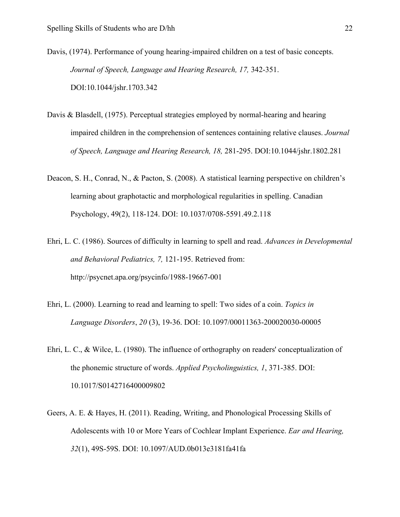Davis, (1974). Performance of young hearing-impaired children on a test of basic concepts. *Journal of Speech, Language and Hearing Research, 17,* 342-351. DOI:10.1044/jshr.1703.342

- Davis & Blasdell, (1975). Perceptual strategies employed by normal-hearing and hearing impaired children in the comprehension of sentences containing relative clauses. *Journal of Speech, Language and Hearing Research, 18,* 281-295. DOI:10.1044/jshr.1802.281
- Deacon, S. H., Conrad, N., & Pacton, S. (2008). A statistical learning perspective on children's learning about graphotactic and morphological regularities in spelling. Canadian Psychology, 49(2), 118-124. DOI: 10.1037/0708-5591.49.2.118
- Ehri, L. C. (1986). Sources of difficulty in learning to spell and read. *Advances in Developmental and Behavioral Pediatrics, 7,* 121-195. Retrieved from: http://psycnet.apa.org/psycinfo/1988-19667-001
- Ehri, L. (2000). Learning to read and learning to spell: Two sides of a coin. *Topics in Language Disorders*, *20* (3), 19-36. DOI: 10.1097/00011363-200020030-00005
- Ehri, L. C., & Wilce, L. (1980). The influence of orthography on readers' conceptualization of the phonemic structure of words. *Applied Psycholinguistics, 1*, 371-385. DOI: 10.1017/S0142716400009802
- Geers, A. E. & Hayes, H. (2011). Reading, Writing, and Phonological Processing Skills of Adolescents with 10 or More Years of Cochlear Implant Experience. *Ear and Hearing, 32*(1), 49S-59S. DOI: 10.1097/AUD.0b013e3181fa41fa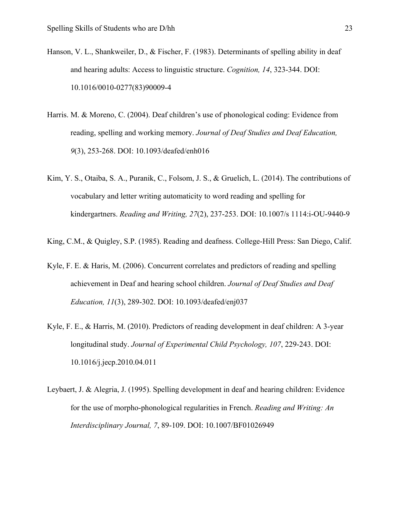- Hanson, V. L., Shankweiler, D., & Fischer, F. (1983). Determinants of spelling ability in deaf and hearing adults: Access to linguistic structure. *Cognition, 14*, 323-344. DOI: 10.1016/0010-0277(83)90009-4
- Harris. M. & Moreno, C. (2004). Deaf children's use of phonological coding: Evidence from reading, spelling and working memory. *Journal of Deaf Studies and Deaf Education, 9*(3), 253-268. DOI: 10.1093/deafed/enh016
- Kim, Y. S., Otaiba, S. A., Puranik, C., Folsom, J. S., & Gruelich, L. (2014). The contributions of vocabulary and letter writing automaticity to word reading and spelling for kindergartners. *Reading and Writing, 27*(2), 237-253. DOI: 10.1007/s 1114:i-OU-9440-9

King, C.M., & Quigley, S.P. (1985). Reading and deafness. College-Hill Press: San Diego, Calif.

- Kyle, F. E. & Haris, M. (2006). Concurrent correlates and predictors of reading and spelling achievement in Deaf and hearing school children. *Journal of Deaf Studies and Deaf Education, 11*(3), 289-302. DOI: 10.1093/deafed/enj037
- Kyle, F. E., & Harris, M. (2010). Predictors of reading development in deaf children: A 3-year longitudinal study. *Journal of Experimental Child Psychology, 107*, 229-243. DOI: 10.1016/j.jecp.2010.04.011
- Leybaert, J. & Alegria, J. (1995). Spelling development in deaf and hearing children: Evidence for the use of morpho-phonological regularities in French. *Reading and Writing: An Interdisciplinary Journal, 7*, 89-109. DOI: 10.1007/BF01026949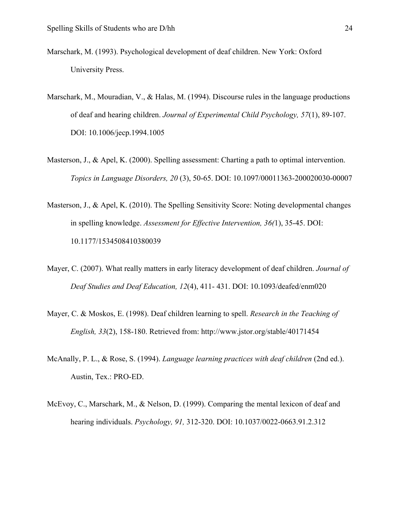- Marschark, M. (1993). Psychological development of deaf children. New York: Oxford University Press.
- Marschark, M., Mouradian, V., & Halas, M. (1994). Discourse rules in the language productions of deaf and hearing children. *Journal of Experimental Child Psychology, 57*(1), 89-107. DOI: 10.1006/jecp.1994.1005
- Masterson, J., & Apel, K. (2000). Spelling assessment: Charting a path to optimal intervention. *Topics in Language Disorders, 20* (3), 50-65. DOI: 10.1097/00011363-200020030-00007
- Masterson, J., & Apel, K. (2010). The Spelling Sensitivity Score: Noting developmental changes in spelling knowledge. *Assessment for Effective Intervention, 36(*1), 35-45. DOI: 10.1177/1534508410380039
- Mayer, C. (2007). What really matters in early literacy development of deaf children. *Journal of Deaf Studies and Deaf Education, 12*(4), 411- 431. DOI: 10.1093/deafed/enm020
- Mayer, C. & Moskos, E. (1998). Deaf children learning to spell. *Research in the Teaching of English, 33*(2), 158-180. Retrieved from: http://www.jstor.org/stable/40171454
- McAnally, P. L., & Rose, S. (1994). *Language learning practices with deaf children* (2nd ed.). Austin, Tex.: PRO-ED.
- McEvoy, C., Marschark, M., & Nelson, D. (1999). Comparing the mental lexicon of deaf and hearing individuals. *Psychology, 91,* 312-320. DOI: 10.1037/0022-0663.91.2.312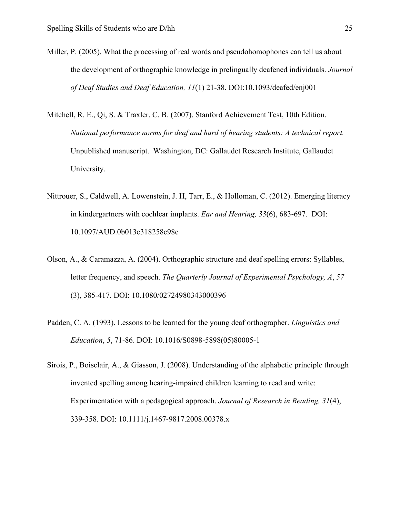- Miller, P. (2005). What the processing of real words and pseudohomophones can tell us about the development of orthographic knowledge in prelingually deafened individuals. *Journal of Deaf Studies and Deaf Education, 11*(1) 21-38. DOI:10.1093/deafed/enj001
- Mitchell, R. E., Qi, S. & Traxler, C. B. (2007). Stanford Achievement Test, 10th Edition. *National performance norms for deaf and hard of hearing students: A technical report.* Unpublished manuscript. Washington, DC: Gallaudet Research Institute, Gallaudet University.
- Nittrouer, S., Caldwell, A. Lowenstein, J. H, Tarr, E., & Holloman, C. (2012). Emerging literacy in kindergartners with cochlear implants. *Ear and Hearing, 33*(6), 683-697. DOI: 10.1097/AUD.0b013e318258c98e
- Olson, A., & Caramazza, A. (2004). Orthographic structure and deaf spelling errors: Syllables, letter frequency, and speech. *The Quarterly Journal of Experimental Psychology, A*, *57* (3), 385-417. DOI: 10.1080/02724980343000396
- Padden, C. A. (1993). Lessons to be learned for the young deaf orthographer. *Linguistics and Education*, *5*, 71-86. DOI: 10.1016/S0898-5898(05)80005-1
- Sirois, P., Boisclair, A., & Giasson, J. (2008). Understanding of the alphabetic principle through invented spelling among hearing-impaired children learning to read and write: Experimentation with a pedagogical approach. *Journal of Research in Reading, 31*(4), 339-358. DOI: 10.1111/j.1467-9817.2008.00378.x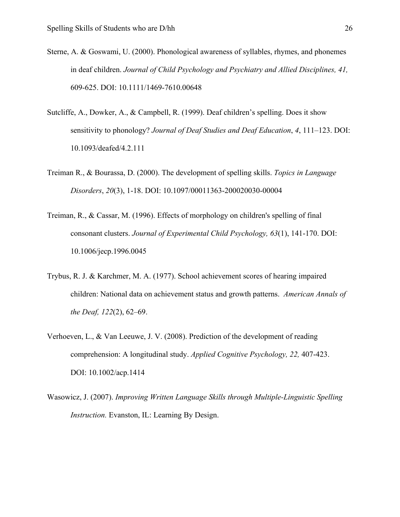- Sterne, A. & Goswami, U. (2000). Phonological awareness of syllables, rhymes, and phonemes in deaf children. *Journal of Child Psychology and Psychiatry and Allied Disciplines, 41,* 609-625. DOI: 10.1111/1469-7610.00648
- Sutcliffe, A., Dowker, A., & Campbell, R. (1999). Deaf children's spelling. Does it show sensitivity to phonology? *Journal of Deaf Studies and Deaf Education*, *4*, 111–123. DOI: 10.1093/deafed/4.2.111
- Treiman R., & Bourassa, D. (2000). The development of spelling skills. *Topics in Language Disorders*, *20*(3), 1-18. DOI: 10.1097/00011363-200020030-00004
- Treiman, R., & Cassar, M. (1996). Effects of morphology on children's spelling of final consonant clusters. *Journal of Experimental Child Psychology, 63*(1), 141-170. DOI: 10.1006/jecp.1996.0045
- Trybus, R. J. & Karchmer, M. A. (1977). School achievement scores of hearing impaired children: National data on achievement status and growth patterns. *American Annals of the Deaf, 122*(2), 62–69.
- Verhoeven, L., & Van Leeuwe, J. V. (2008). Prediction of the development of reading comprehension: A longitudinal study. *Applied Cognitive Psychology, 22,* 407-423. DOI: 10.1002/acp.1414
- Wasowicz, J. (2007). *Improving Written Language Skills through Multiple-Linguistic Spelling Instruction.* Evanston, IL: Learning By Design.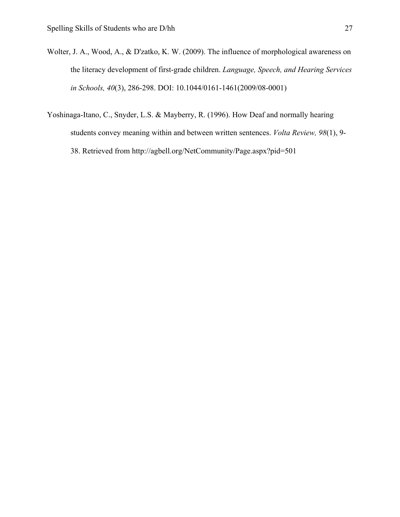- Wolter, J. A., Wood, A., & D'zatko, K. W. (2009). The influence of morphological awareness on the literacy development of first-grade children. *Language, Speech, and Hearing Services in Schools, 40*(3), 286-298. DOI: 10.1044/0161-1461(2009/08-0001)
- Yoshinaga-Itano, C., Snyder, L.S. & Mayberry, R. (1996). How Deaf and normally hearing students convey meaning within and between written sentences. *Volta Review, 98*(1), 9- 38. Retrieved from http://agbell.org/NetCommunity/Page.aspx?pid=501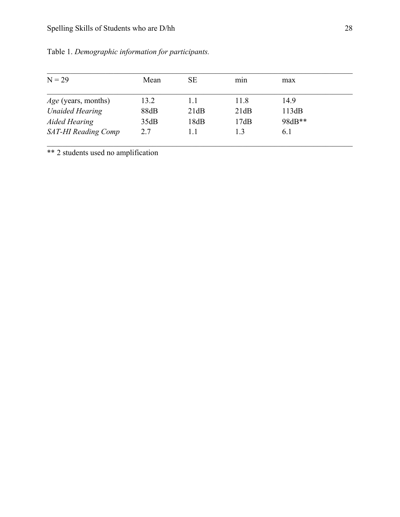| $N = 29$                   | Mean | <b>SE</b> | min  | max    |  |
|----------------------------|------|-----------|------|--------|--|
| <i>Age</i> (years, months) | 13.2 | 1.1       | 11.8 | 14.9   |  |
| <b>Unaided Hearing</b>     | 88dB | 21dB      | 21dB | 113dB  |  |
| <b>Aided Hearing</b>       | 35dB | 18dB      | 17dB | 98dB** |  |
| <b>SAT-HI Reading Comp</b> | 2.7  | 1.1       | 1.3  | 6.1    |  |

Table 1. *Demographic information for participants.*

\*\* 2 students used no amplification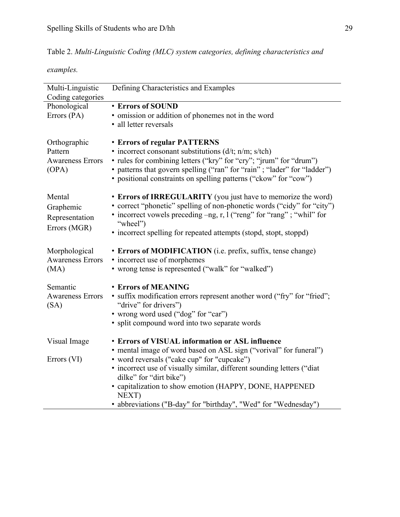| Table 2. Multi-Linguistic Coding (MLC) system categories, defining characteristics and |  |  |  |  |
|----------------------------------------------------------------------------------------|--|--|--|--|
|----------------------------------------------------------------------------------------|--|--|--|--|

*examples.*

| Multi-Linguistic<br>Coding categories | Defining Characteristics and Examples                                                             |
|---------------------------------------|---------------------------------------------------------------------------------------------------|
| Phonological                          | <b>• Errors of SOUND</b>                                                                          |
| Errors (PA)                           | • omission or addition of phonemes not in the word                                                |
|                                       | • all letter reversals                                                                            |
| Orthographic                          | <b>• Errors of regular PATTERNS</b>                                                               |
| Pattern                               | • incorrect consonant substitutions $(d/t; n/m; s/tch)$                                           |
| <b>Awareness Errors</b>               | • rules for combining letters ("kry" for "cry"; "jrum" for "drum")                                |
| (OPA)                                 | • patterns that govern spelling ("ran" for "rain"; "lader" for "ladder")                          |
|                                       | · positional constraints on spelling patterns ("ckow" for "cow")                                  |
|                                       |                                                                                                   |
| Mental                                | • Errors of IRREGULARITY (you just have to memorize the word)                                     |
| Graphemic                             | • correct "phonetic" spelling of non-phonetic words ("cidy" for "city")                           |
| Representation                        | • incorrect vowels preceding -ng, r, l ("reng" for "rang"; "whil" for                             |
| Errors (MGR)                          | "wheel")                                                                                          |
|                                       | • incorrect spelling for repeated attempts (stopd, stopt, stoppd)                                 |
|                                       |                                                                                                   |
| Morphological                         | • Errors of MODIFICATION (i.e. prefix, suffix, tense change)                                      |
| <b>Awareness Errors</b>               | • incorrect use of morphemes                                                                      |
| (MA)                                  | • wrong tense is represented ("walk" for "walked")                                                |
| Semantic                              | <b>• Errors of MEANING</b>                                                                        |
| <b>Awareness Errors</b>               | • suffix modification errors represent another word ("fry" for "fried";                           |
| (SA)                                  | "drive" for drivers")                                                                             |
|                                       | • wrong word used ("dog" for "car")                                                               |
|                                       | • split compound word into two separate words                                                     |
|                                       |                                                                                                   |
| Visual Image                          | <b>• Errors of VISUAL information or ASL influence</b>                                            |
|                                       | • mental image of word based on ASL sign ("vorival" for funeral")                                 |
| Errors (VI)                           | • word reversals ("cake cup" for "cupcake")                                                       |
|                                       | • incorrect use of visually similar, different sounding letters ("diat<br>dilke" for "dirt bike") |
|                                       | • capitalization to show emotion (HAPPY, DONE, HAPPENED                                           |
|                                       | NEXT)                                                                                             |
|                                       | • abbreviations ("B-day" for "birthday", "Wed" for "Wednesday")                                   |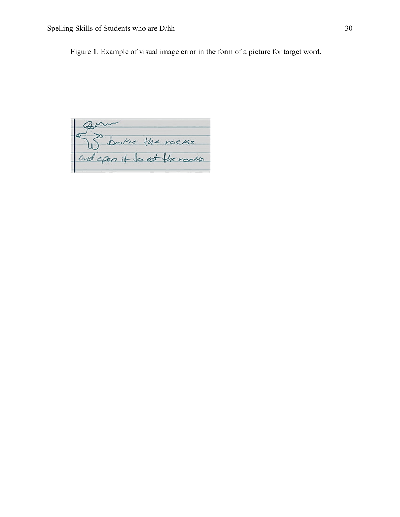Figure 1. Example of visual image error in the form of a picture for target word.

Spare the rocks<br>and open it to at the rocks